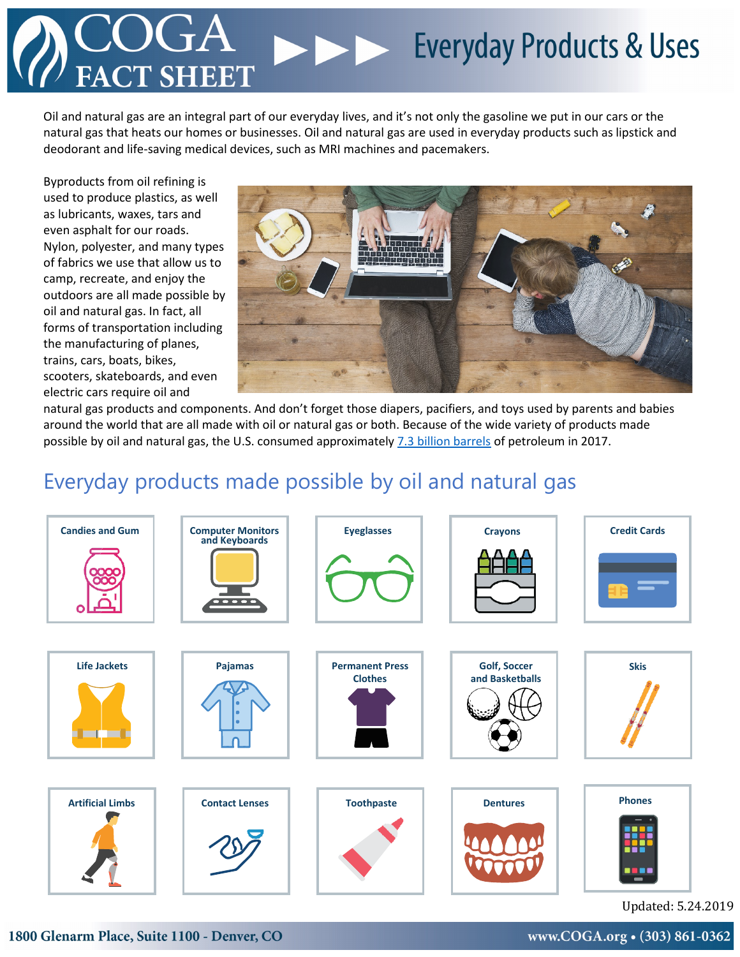# Everyday Products & Uses **SH EET**

Oil and natural gas are an integral part of our everyday lives, and it's not only the gasoline we put in our cars or the natural gas that heats our homes or businesses. Oil and natural gas are used in everyday products such as lipstick and deodorant and life-saving medical devices, such as MRI machines and pacemakers.

Byproducts from oil refining is used to produce plastics, as well as lubricants, waxes, tars and even asphalt for our roads. Nylon, polyester, and many types of fabrics we use that allow us to camp, recreate, and enjoy the outdoors are all made possible by oil and natural gas. In fact, all forms of transportation including the manufacturing of planes, trains, cars, boats, bikes, scooters, skateboards, and even electric cars require oil and



natural gas products and components. And don't forget those diapers, pacifiers, and toys used by parents and babies around the world that are all made with oil or natural gas or both. Because of the wide variety of products made possible by oil and natural gas, the U.S. consumed approximately [7.3 billion barrels](https://www.eia.gov/tools/faqs/faq.php?id=41&t=6) of petroleum in 2017.

#### Everyday products made possible by oil and natural gas



Updated: 5.24.2019

1800 Glenarm Place, Suite 1100 - Denver, CO